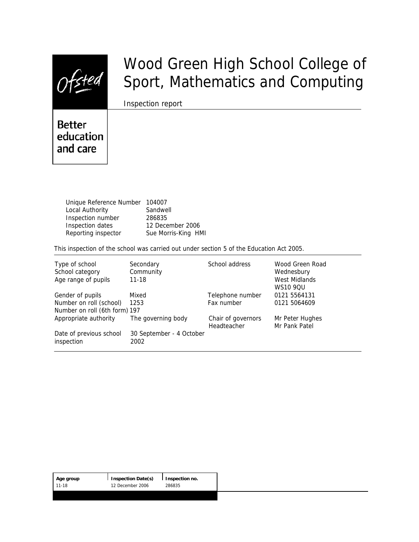

# Wood Green High School College of Sport, Mathematics and Computing

Inspection report

**Better** education and care

> Unique Reference Number 104007 Local Authority **Sandwell** Inspection number 286835 Inspection dates 12 December 2006 Reporting inspector Sue Morris-King HMI

This inspection of the school was carried out under section 5 of the Education Act 2005.

| Type of school<br>School category<br>Age range of pupils                     | Secondary<br>Community<br>$11 - 18$ | School address                    | Wood Green Road<br>Wednesbury<br>West Midlands<br><b>WS10 9QU</b> |
|------------------------------------------------------------------------------|-------------------------------------|-----------------------------------|-------------------------------------------------------------------|
| Gender of pupils<br>Number on roll (school)<br>Number on roll (6th form) 197 | Mixed<br>1253                       | Telephone number<br>Fax number    | 0121 5564131<br>0121 5064609                                      |
| Appropriate authority                                                        | The governing body                  | Chair of governors<br>Headteacher | Mr Peter Hughes<br>Mr Pank Patel                                  |
| Date of previous school<br>inspection                                        | 30 September - 4 October<br>2002    |                                   |                                                                   |

| Age group | $\vert$ Inspection Date(s) | I Inspection no. |
|-----------|----------------------------|------------------|
| $11-18$   | 12 December 2006           | 286835           |
|           |                            |                  |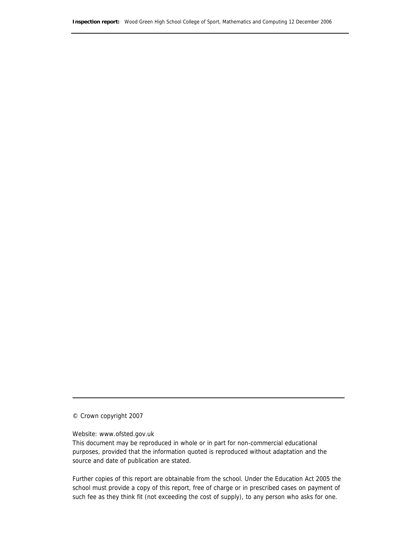© Crown copyright 2007

Website: www.ofsted.gov.uk

This document may be reproduced in whole or in part for non-commercial educational purposes, provided that the information quoted is reproduced without adaptation and the source and date of publication are stated.

Further copies of this report are obtainable from the school. Under the Education Act 2005 the school must provide a copy of this report, free of charge or in prescribed cases on payment of such fee as they think fit (not exceeding the cost of supply), to any person who asks for one.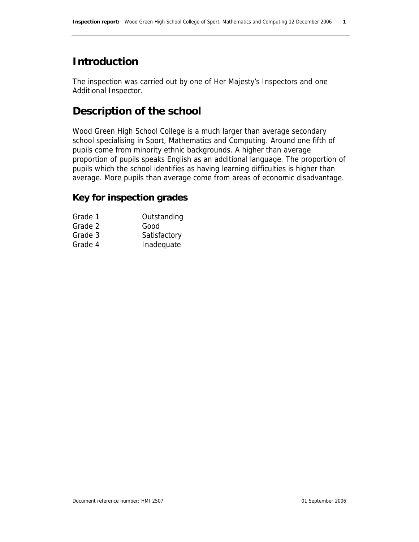# **Introduction**

The inspection was carried out by one of Her Majesty's Inspectors and one Additional Inspector.

# **Description of the school**

Wood Green High School College is a much larger than average secondary school specialising in Sport, Mathematics and Computing. Around one fifth of pupils come from minority ethnic backgrounds. A higher than average proportion of pupils speaks English as an additional language. The proportion of pupils which the school identifies as having learning difficulties is higher than average. More pupils than average come from areas of economic disadvantage.

### **Key for inspection grades**

| Outstanding  |
|--------------|
| Good         |
| Satisfactory |
| Inadequate   |
|              |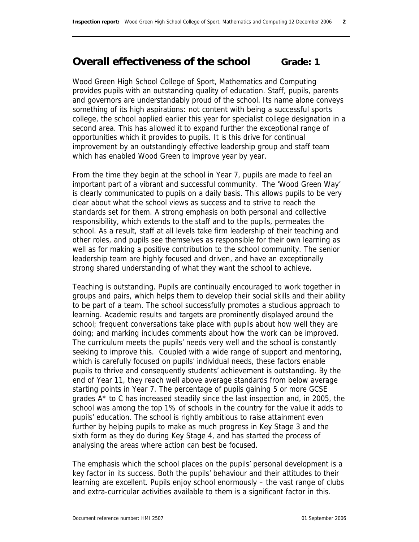# **Overall effectiveness of the school Grade: 1**

Wood Green High School College of Sport, Mathematics and Computing provides pupils with an outstanding quality of education. Staff, pupils, parents and governors are understandably proud of the school. Its name alone conveys something of its high aspirations: not content with being a successful sports college, the school applied earlier this year for specialist college designation in a second area. This has allowed it to expand further the exceptional range of opportunities which it provides to pupils. It is this drive for continual improvement by an outstandingly effective leadership group and staff team which has enabled Wood Green to improve year by year.

From the time they begin at the school in Year 7, pupils are made to feel an important part of a vibrant and successful community. The 'Wood Green Way' is clearly communicated to pupils on a daily basis. This allows pupils to be very clear about what the school views as success and to strive to reach the standards set for them. A strong emphasis on both personal and collective responsibility, which extends to the staff and to the pupils, permeates the school. As a result, staff at all levels take firm leadership of their teaching and other roles, and pupils see themselves as responsible for their own learning as well as for making a positive contribution to the school community. The senior leadership team are highly focused and driven, and have an exceptionally strong shared understanding of what they want the school to achieve.

Teaching is outstanding. Pupils are continually encouraged to work together in groups and pairs, which helps them to develop their social skills and their ability to be part of a team. The school successfully promotes a studious approach to learning. Academic results and targets are prominently displayed around the school; frequent conversations take place with pupils about how well they are doing; and marking includes comments about how the work can be improved. The curriculum meets the pupils' needs very well and the school is constantly seeking to improve this. Coupled with a wide range of support and mentoring, which is carefully focused on pupils' individual needs, these factors enable pupils to thrive and consequently students' achievement is outstanding. By the end of Year 11, they reach well above average standards from below average starting points in Year 7. The percentage of pupils gaining 5 or more GCSE grades A\* to C has increased steadily since the last inspection and, in 2005, the school was among the top 1% of schools in the country for the value it adds to pupils' education. The school is rightly ambitious to raise attainment even further by helping pupils to make as much progress in Key Stage 3 and the sixth form as they do during Key Stage 4, and has started the process of analysing the areas where action can best be focused.

The emphasis which the school places on the pupils' personal development is a key factor in its success. Both the pupils' behaviour and their attitudes to their learning are excellent. Pupils enjoy school enormously – the vast range of clubs and extra-curricular activities available to them is a significant factor in this.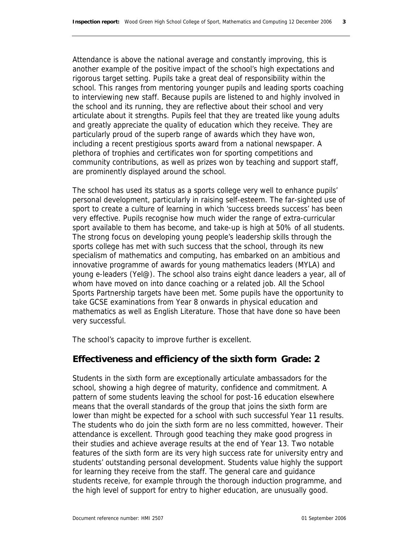Attendance is above the national average and constantly improving, this is another example of the positive impact of the school's high expectations and rigorous target setting. Pupils take a great deal of responsibility within the school. This ranges from mentoring younger pupils and leading sports coaching to interviewing new staff. Because pupils are listened to and highly involved in the school and its running, they are reflective about their school and very articulate about it strengths. Pupils feel that they are treated like young adults and greatly appreciate the quality of education which they receive. They are particularly proud of the superb range of awards which they have won, including a recent prestigious sports award from a national newspaper. A plethora of trophies and certificates won for sporting competitions and community contributions, as well as prizes won by teaching and support staff, are prominently displayed around the school.

The school has used its status as a sports college very well to enhance pupils' personal development, particularly in raising self-esteem. The far-sighted use of sport to create a culture of learning in which 'success breeds success' has been very effective. Pupils recognise how much wider the range of extra-curricular sport available to them has become, and take-up is high at 50% of all students. The strong focus on developing young people's leadership skills through the sports college has met with such success that the school, through its new specialism of mathematics and computing, has embarked on an ambitious and innovative programme of awards for young mathematics leaders (MYLA) and young e-leaders (Yel@). The school also trains eight dance leaders a year, all of whom have moved on into dance coaching or a related job. All the School Sports Partnership targets have been met. Some pupils have the opportunity to take GCSE examinations from Year 8 onwards in physical education and mathematics as well as English Literature. Those that have done so have been very successful.

The school's capacity to improve further is excellent.

### **Effectiveness and efficiency of the sixth form Grade: 2**

Students in the sixth form are exceptionally articulate ambassadors for the school, showing a high degree of maturity, confidence and commitment. A pattern of some students leaving the school for post-16 education elsewhere means that the overall standards of the group that joins the sixth form are lower than might be expected for a school with such successful Year 11 results. The students who do join the sixth form are no less committed, however. Their attendance is excellent. Through good teaching they make good progress in their studies and achieve average results at the end of Year 13. Two notable features of the sixth form are its very high success rate for university entry and students' outstanding personal development. Students value highly the support for learning they receive from the staff. The general care and guidance students receive, for example through the thorough induction programme, and the high level of support for entry to higher education, are unusually good.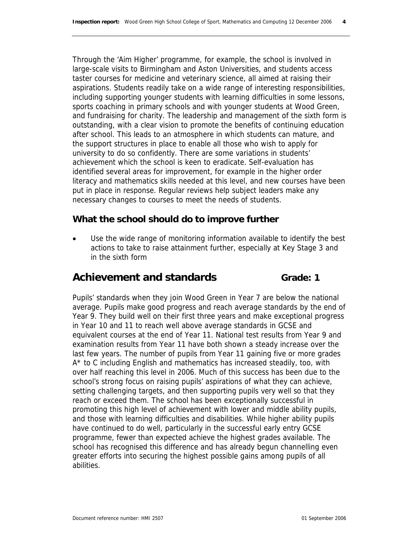Through the 'Aim Higher' programme, for example, the school is involved in large-scale visits to Birmingham and Aston Universities, and students access taster courses for medicine and veterinary science, all aimed at raising their aspirations. Students readily take on a wide range of interesting responsibilities, including supporting younger students with learning difficulties in some lessons, sports coaching in primary schools and with younger students at Wood Green, and fundraising for charity. The leadership and management of the sixth form is outstanding, with a clear vision to promote the benefits of continuing education after school. This leads to an atmosphere in which students can mature, and the support structures in place to enable all those who wish to apply for university to do so confidently. There are some variations in students' achievement which the school is keen to eradicate. Self-evaluation has identified several areas for improvement, for example in the higher order literacy and mathematics skills needed at this level, and new courses have been put in place in response. Regular reviews help subject leaders make any necessary changes to courses to meet the needs of students.

### **What the school should do to improve further**

• Use the wide range of monitoring information available to identify the best actions to take to raise attainment further, especially at Key Stage 3 and in the sixth form

## Achievement and standards **Grade:** 1

Pupils' standards when they join Wood Green in Year 7 are below the national average. Pupils make good progress and reach average standards by the end of Year 9. They build well on their first three years and make exceptional progress in Year 10 and 11 to reach well above average standards in GCSE and equivalent courses at the end of Year 11. National test results from Year 9 and examination results from Year 11 have both shown a steady increase over the last few years. The number of pupils from Year 11 gaining five or more grades A\* to C including English and mathematics has increased steadily, too, with over half reaching this level in 2006. Much of this success has been due to the school's strong focus on raising pupils' aspirations of what they can achieve, setting challenging targets, and then supporting pupils very well so that they reach or exceed them. The school has been exceptionally successful in promoting this high level of achievement with lower and middle ability pupils, and those with learning difficulties and disabilities. While higher ability pupils have continued to do well, particularly in the successful early entry GCSE programme, fewer than expected achieve the highest grades available. The school has recognised this difference and has already begun channelling even greater efforts into securing the highest possible gains among pupils of all abilities.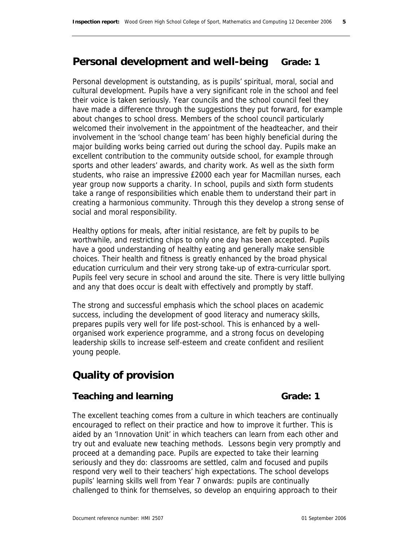# **Personal development and well-being Grade: 1**

Personal development is outstanding, as is pupils' spiritual, moral, social and cultural development. Pupils have a very significant role in the school and feel their voice is taken seriously. Year councils and the school council feel they have made a difference through the suggestions they put forward, for example about changes to school dress. Members of the school council particularly welcomed their involvement in the appointment of the headteacher, and their involvement in the 'school change team' has been highly beneficial during the major building works being carried out during the school day. Pupils make an excellent contribution to the community outside school, for example through sports and other leaders' awards, and charity work. As well as the sixth form students, who raise an impressive £2000 each year for Macmillan nurses, each year group now supports a charity. In school, pupils and sixth form students take a range of responsibilities which enable them to understand their part in creating a harmonious community. Through this they develop a strong sense of social and moral responsibility.

Healthy options for meals, after initial resistance, are felt by pupils to be worthwhile, and restricting chips to only one day has been accepted. Pupils have a good understanding of healthy eating and generally make sensible choices. Their health and fitness is greatly enhanced by the broad physical education curriculum and their very strong take-up of extra-curricular sport. Pupils feel very secure in school and around the site. There is very little bullying and any that does occur is dealt with effectively and promptly by staff.

The strong and successful emphasis which the school places on academic success, including the development of good literacy and numeracy skills, prepares pupils very well for life post-school. This is enhanced by a wellorganised work experience programme, and a strong focus on developing leadership skills to increase self-esteem and create confident and resilient young people.

# **Quality of provision**

### **Teaching and learning Grade: 1** Grade: 1

The excellent teaching comes from a culture in which teachers are continually encouraged to reflect on their practice and how to improve it further. This is aided by an 'Innovation Unit' in which teachers can learn from each other and try out and evaluate new teaching methods. Lessons begin very promptly and proceed at a demanding pace. Pupils are expected to take their learning seriously and they do: classrooms are settled, calm and focused and pupils respond very well to their teachers' high expectations. The school develops pupils' learning skills well from Year 7 onwards: pupils are continually challenged to think for themselves, so develop an enquiring approach to their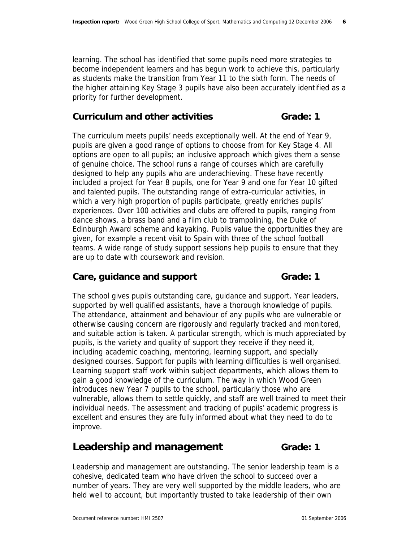learning. The school has identified that some pupils need more strategies to become independent learners and has begun work to achieve this, particularly as students make the transition from Year 11 to the sixth form. The needs of the higher attaining Key Stage 3 pupils have also been accurately identified as a priority for further development.

### **Curriculum and other activities Curriculum and other activities Crade: 1**

The curriculum meets pupils' needs exceptionally well. At the end of Year 9, pupils are given a good range of options to choose from for Key Stage 4. All options are open to all pupils; an inclusive approach which gives them a sense of genuine choice. The school runs a range of courses which are carefully designed to help any pupils who are underachieving. These have recently included a project for Year 8 pupils, one for Year 9 and one for Year 10 gifted and talented pupils. The outstanding range of extra-curricular activities, in which a very high proportion of pupils participate, greatly enriches pupils' experiences. Over 100 activities and clubs are offered to pupils, ranging from dance shows, a brass band and a film club to trampolining, the Duke of Edinburgh Award scheme and kayaking. Pupils value the opportunities they are given, for example a recent visit to Spain with three of the school football teams. A wide range of study support sessions help pupils to ensure that they are up to date with coursework and revision.

### Care, guidance and support **Grade:** 1

The school gives pupils outstanding care, guidance and support. Year leaders, supported by well qualified assistants, have a thorough knowledge of pupils. The attendance, attainment and behaviour of any pupils who are vulnerable or otherwise causing concern are rigorously and regularly tracked and monitored, and suitable action is taken. A particular strength, which is much appreciated by pupils, is the variety and quality of support they receive if they need it, including academic coaching, mentoring, learning support, and specially designed courses. Support for pupils with learning difficulties is well organised. Learning support staff work within subject departments, which allows them to gain a good knowledge of the curriculum. The way in which Wood Green introduces new Year 7 pupils to the school, particularly those who are vulnerable, allows them to settle quickly, and staff are well trained to meet their individual needs. The assessment and tracking of pupils' academic progress is excellent and ensures they are fully informed about what they need to do to improve.

# **Leadership and management Grade: 1**

Leadership and management are outstanding. The senior leadership team is a cohesive, dedicated team who have driven the school to succeed over a number of years. They are very well supported by the middle leaders, who are held well to account, but importantly trusted to take leadership of their own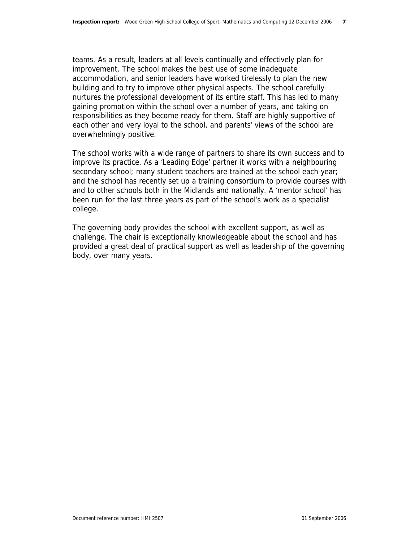teams. As a result, leaders at all levels continually and effectively plan for improvement. The school makes the best use of some inadequate accommodation, and senior leaders have worked tirelessly to plan the new building and to try to improve other physical aspects. The school carefully nurtures the professional development of its entire staff. This has led to many gaining promotion within the school over a number of years, and taking on responsibilities as they become ready for them. Staff are highly supportive of each other and very loyal to the school, and parents' views of the school are overwhelmingly positive.

The school works with a wide range of partners to share its own success and to improve its practice. As a 'Leading Edge' partner it works with a neighbouring secondary school; many student teachers are trained at the school each year; and the school has recently set up a training consortium to provide courses with and to other schools both in the Midlands and nationally. A 'mentor school' has been run for the last three years as part of the school's work as a specialist college.

The governing body provides the school with excellent support, as well as challenge. The chair is exceptionally knowledgeable about the school and has provided a great deal of practical support as well as leadership of the governing body, over many years.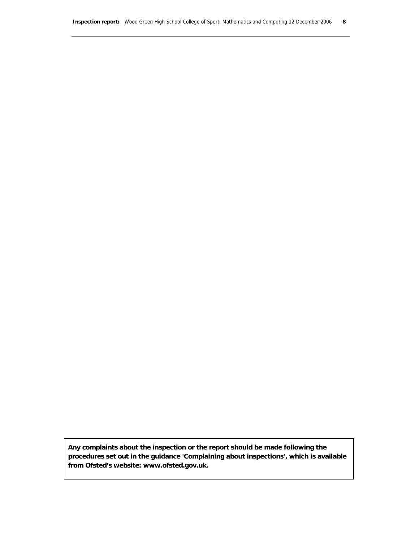**Any complaints about the inspection or the report should be made following the procedures set out in the guidance 'Complaining about inspections', which is available from Ofsted's website: www.ofsted.gov.uk.**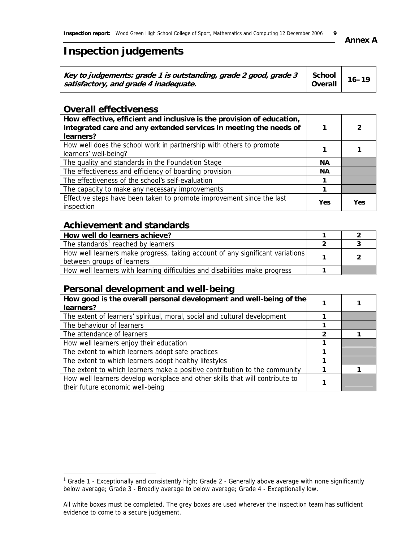# **Inspection judgements**

| Key to judgements: grade 1 is outstanding, grade 2 good, grade $3 \mid \text{ School} \mid 16-19$<br>satisfactory, and grade 4 inadequate. | Overall |  |  |
|--------------------------------------------------------------------------------------------------------------------------------------------|---------|--|--|
|--------------------------------------------------------------------------------------------------------------------------------------------|---------|--|--|

### **Overall effectiveness**

| How effective, efficient and inclusive is the provision of education,<br>integrated care and any extended services in meeting the needs of<br>learners? |            | 2   |
|---------------------------------------------------------------------------------------------------------------------------------------------------------|------------|-----|
| How well does the school work in partnership with others to promote<br>learners' well-being?                                                            |            |     |
| The quality and standards in the Foundation Stage                                                                                                       | <b>NA</b>  |     |
| The effectiveness and efficiency of boarding provision                                                                                                  |            |     |
| The effectiveness of the school's self-evaluation                                                                                                       |            |     |
| The capacity to make any necessary improvements                                                                                                         |            |     |
| Effective steps have been taken to promote improvement since the last<br>inspection                                                                     | <b>Yes</b> | Yes |

### **Achievement and standards**

| How well do learners achieve?                                                                               |  |
|-------------------------------------------------------------------------------------------------------------|--|
| The standards <sup>1</sup> reached by learners                                                              |  |
| How well learners make progress, taking account of any significant variations<br>between groups of learners |  |
| How well learners with learning difficulties and disabilities make progress                                 |  |

### **Personal development and well-being**

| How good is the overall personal development and well-being of the<br>learners?                                  |              |  |
|------------------------------------------------------------------------------------------------------------------|--------------|--|
| The extent of learners' spiritual, moral, social and cultural development                                        |              |  |
| The behaviour of learners                                                                                        |              |  |
| The attendance of learners                                                                                       | $\mathbf{2}$ |  |
| How well learners enjoy their education                                                                          |              |  |
| The extent to which learners adopt safe practices                                                                |              |  |
| The extent to which learners adopt healthy lifestyles                                                            |              |  |
| The extent to which learners make a positive contribution to the community                                       |              |  |
| How well learners develop workplace and other skills that will contribute to<br>their future economic well-being |              |  |

**Annex A** 

<sup>&</sup>lt;u>decade 1 - Exceptionally and consistently high;</u> Grade 2 - Generally above average with none significantly in Grade 1 - Exceptionally and consistently high; Grade 2 - Generally above average with none significantly below average; Grade 3 - Broadly average to below average; Grade 4 - Exceptionally low.

All white boxes must be completed. The grey boxes are used wherever the inspection team has sufficient evidence to come to a secure judgement.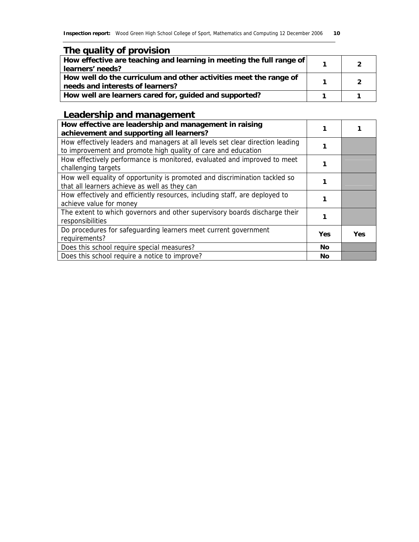|  | The quality of provision |
|--|--------------------------|
|  |                          |

| How effective are teaching and learning in meeting the full range of<br>learners' needs?              |  |
|-------------------------------------------------------------------------------------------------------|--|
| How well do the curriculum and other activities meet the range of<br>needs and interests of learners? |  |
| How well are learners cared for, guided and supported?                                                |  |

# **Leadership and management**

| How effective are leadership and management in raising<br>achievement and supporting all learners?                                              |            |     |
|-------------------------------------------------------------------------------------------------------------------------------------------------|------------|-----|
| How effectively leaders and managers at all levels set clear direction leading<br>to improvement and promote high quality of care and education |            |     |
| How effectively performance is monitored, evaluated and improved to meet<br>challenging targets                                                 |            |     |
| How well equality of opportunity is promoted and discrimination tackled so<br>that all learners achieve as well as they can                     |            |     |
| How effectively and efficiently resources, including staff, are deployed to<br>achieve value for money                                          |            |     |
| The extent to which governors and other supervisory boards discharge their<br>responsibilities                                                  |            |     |
| Do procedures for safeguarding learners meet current government<br>requirements?                                                                | <b>Yes</b> | Yes |
| Does this school require special measures?                                                                                                      | <b>No</b>  |     |
| Does this school require a notice to improve?                                                                                                   | No         |     |